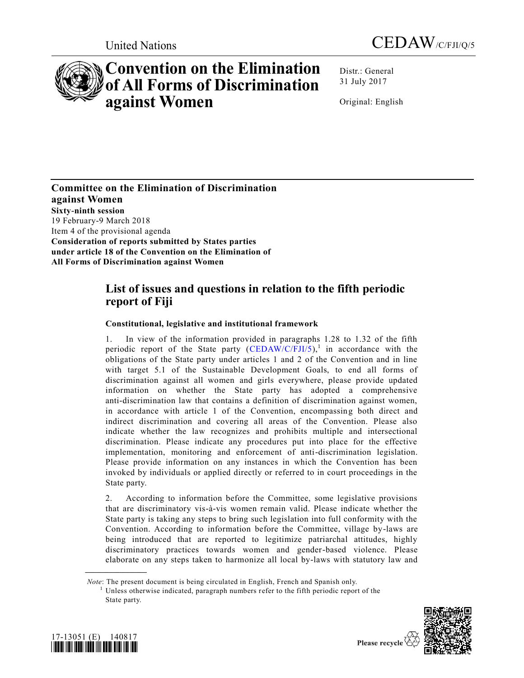



# **Convention on the Elimination of All Forms of Discrimination against Women**

Distr.: General 31 July 2017

Original: English

**Committee on the Elimination of Discrimination against Women Sixty-ninth session** 19 February-9 March 2018 Item 4 of the provisional agenda **Consideration of reports submitted by States parties under article 18 of the Convention on the Elimination of All Forms of Discrimination against Women**

# **List of issues and questions in relation to the fifth periodic report of Fiji**

# **Constitutional, legislative and institutional framework**

1. In view of the information provided in paragraphs 1.28 to 1.32 of the fifth periodic report of the State party  $(CEDAW/C/FJI/5)$ ,<sup>1</sup> in accordance with the obligations of the State party under articles 1 and 2 of the Convention and in line with target 5.1 of the Sustainable Development Goals, to end all forms of discrimination against all women and girls everywhere, please provide updated information on whether the State party has adopted a comprehensive anti-discrimination law that contains a definition of discrimination against women, in accordance with article 1 of the Convention, encompassing both direct and indirect discrimination and covering all areas of the Convention. Please also indicate whether the law recognizes and prohibits multiple and intersectional discrimination. Please indicate any procedures put into place for the effective implementation, monitoring and enforcement of anti-discrimination legislation. Please provide information on any instances in which the Convention has been invoked by individuals or applied directly or referred to in court proceedings in the State party.

2. According to information before the Committee, some legislative provisions that are discriminatory vis-à-vis women remain valid. Please indicate whether the State party is taking any steps to bring such legislation into full conformity with the Convention. According to information before the Committee, village by-laws are being introduced that are reported to legitimize patriarchal attitudes, highly discriminatory practices towards women and gender-based violence. Please elaborate on any steps taken to harmonize all local by-laws with statutory law and

 $1$  Unless otherwise indicated, paragraph numbers refer to the fifth periodic report of the State party.



**\_\_\_\_\_\_\_\_\_\_\_\_\_\_\_\_\_\_**

Please recycle  $\overline{\mathcal{C}}$ 

*Note*: The present document is being circulated in English, French and Spanish only.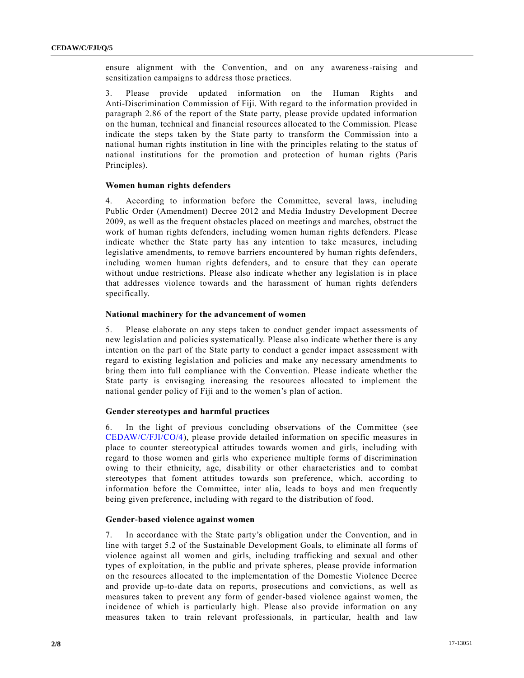ensure alignment with the Convention, and on any awareness-raising and sensitization campaigns to address those practices.

3. Please provide updated information on the Human Rights and Anti-Discrimination Commission of Fiji. With regard to the information provided in paragraph 2.86 of the report of the State party, please provide updated information on the human, technical and financial resources allocated to the Commission. Please indicate the steps taken by the State party to transform the Commission into a national human rights institution in line with the principles relating to the status of national institutions for the promotion and protection of human rights (Paris Principles).

## **Women human rights defenders**

4. According to information before the Committee, several laws, including Public Order (Amendment) Decree 2012 and Media Industry Development Decree 2009, as well as the frequent obstacles placed on meetings and marches, obstruct the work of human rights defenders, including women human rights defenders. Please indicate whether the State party has any intention to take measures, including legislative amendments, to remove barriers encountered by human rights defenders, including women human rights defenders, and to ensure that they can operate without undue restrictions. Please also indicate whether any legislation is in place that addresses violence towards and the harassment of human rights defenders specifically.

# **National machinery for the advancement of women**

5. Please elaborate on any steps taken to conduct gender impact assessments of new legislation and policies systematically. Please also indicate whether there is any intention on the part of the State party to conduct a gender impact a ssessment with regard to existing legislation and policies and make any necessary amendments to bring them into full compliance with the Convention. Please indicate whether the State party is envisaging increasing the resources allocated to implement the national gender policy of Fiji and to the women's plan of action.

# **Gender stereotypes and harmful practices**

6. In the light of previous concluding observations of the Committee (see [CEDAW/C/FJI/CO/4\)](https://undocs.org/CEDAW/C/FJI/CO/4), please provide detailed information on specific measures in place to counter stereotypical attitudes towards women and girls, including with regard to those women and girls who experience multiple forms of discrimination owing to their ethnicity, age, disability or other characteristics and to combat stereotypes that foment attitudes towards son preference, which, according to information before the Committee, inter alia, leads to boys and men frequently being given preference, including with regard to the distribution of food.

#### **Gender-based violence against women**

7. In accordance with the State party's obligation under the Convention, and in line with target 5.2 of the Sustainable Development Goals, to eliminate all forms of violence against all women and girls, including trafficking and sexual and other types of exploitation, in the public and private spheres, please provide information on the resources allocated to the implementation of the Domestic Violence Decree and provide up-to-date data on reports, prosecutions and convictions, as well as measures taken to prevent any form of gender-based violence against women, the incidence of which is particularly high. Please also provide information on any measures taken to train relevant professionals, in particular, health and law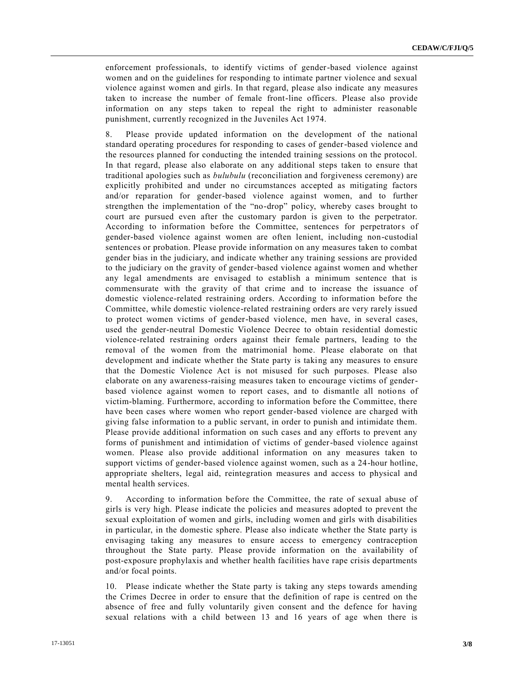enforcement professionals, to identify victims of gender-based violence against women and on the guidelines for responding to intimate partner violence and sexual violence against women and girls. In that regard, please also indicate any measures taken to increase the number of female front-line officers. Please also provide information on any steps taken to repeal the right to administer reasonable punishment, currently recognized in the Juveniles Act 1974.

8. Please provide updated information on the development of the national standard operating procedures for responding to cases of gender-based violence and the resources planned for conducting the intended training sessions on the protocol. In that regard, please also elaborate on any additional steps taken to ensure that traditional apologies such as *bulubulu* (reconciliation and forgiveness ceremony) are explicitly prohibited and under no circumstances accepted as mitigating factors and/or reparation for gender-based violence against women, and to further strengthen the implementation of the "no-drop" policy, whereby cases brought to court are pursued even after the customary pardon is given to the perpetrator. According to information before the Committee, sentences for perpetrators of gender-based violence against women are often lenient, including non-custodial sentences or probation. Please provide information on any measures taken to combat gender bias in the judiciary, and indicate whether any training sessions are provided to the judiciary on the gravity of gender-based violence against women and whether any legal amendments are envisaged to establish a minimum sentence that is commensurate with the gravity of that crime and to increase the issuance of domestic violence-related restraining orders. According to information before the Committee, while domestic violence-related restraining orders are very rarely issued to protect women victims of gender-based violence, men have, in several cases, used the gender-neutral Domestic Violence Decree to obtain residential domestic violence-related restraining orders against their female partners, leading to the removal of the women from the matrimonial home. Please elaborate on that development and indicate whether the State party is taking any measures to ensure that the Domestic Violence Act is not misused for such purposes. Please also elaborate on any awareness-raising measures taken to encourage victims of genderbased violence against women to report cases, and to dismantle all notions of victim-blaming. Furthermore, according to information before the Committee, there have been cases where women who report gender-based violence are charged with giving false information to a public servant, in order to punish and intimidate them. Please provide additional information on such cases and any efforts to prevent any forms of punishment and intimidation of victims of gender-based violence against women. Please also provide additional information on any measures taken to support victims of gender-based violence against women, such as a 24-hour hotline, appropriate shelters, legal aid, reintegration measures and access to physical and mental health services.

9. According to information before the Committee, the rate of sexual abuse of girls is very high. Please indicate the policies and measures adopted to prevent the sexual exploitation of women and girls, including women and girls with disabilities in particular, in the domestic sphere. Please also indicate whether the State party is envisaging taking any measures to ensure access to emergency contraception throughout the State party. Please provide information on the availability of post-exposure prophylaxis and whether health facilities have rape crisis departments and/or focal points.

10. Please indicate whether the State party is taking any steps towards amending the Crimes Decree in order to ensure that the definition of rape is centred on the absence of free and fully voluntarily given consent and the defence for having sexual relations with a child between 13 and 16 years of age when there is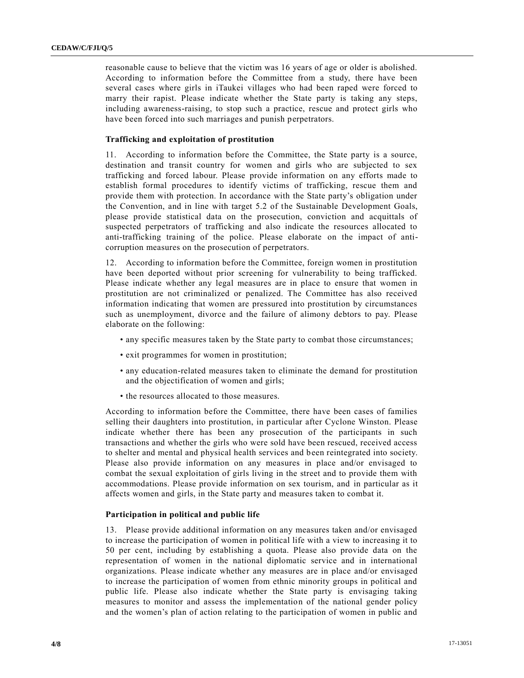reasonable cause to believe that the victim was 16 years of age or older is abolished. According to information before the Committee from a study, there have been several cases where girls in iTaukei villages who had been raped were forced to marry their rapist. Please indicate whether the State party is taking any steps, including awareness-raising, to stop such a practice, rescue and protect girls who have been forced into such marriages and punish perpetrators.

# **Trafficking and exploitation of prostitution**

11. According to information before the Committee, the State party is a source, destination and transit country for women and girls who are subjected to sex trafficking and forced labour. Please provide information on any efforts made to establish formal procedures to identify victims of trafficking, rescue them and provide them with protection. In accordance with the State party's obligation under the Convention, and in line with target 5.2 of the Sustainable Development Goals, please provide statistical data on the prosecution, conviction and acquittals of suspected perpetrators of trafficking and also indicate the resources allocated to anti-trafficking training of the police. Please elaborate on the impact of anticorruption measures on the prosecution of perpetrators.

12. According to information before the Committee, foreign women in prostitution have been deported without prior screening for vulnerability to being trafficked. Please indicate whether any legal measures are in place to ensure that women in prostitution are not criminalized or penalized. The Committee has also received information indicating that women are pressured into prostitution by circumstances such as unemployment, divorce and the failure of alimony debtors to pay. Please elaborate on the following:

- any specific measures taken by the State party to combat those circumstances;
- exit programmes for women in prostitution;
- any education-related measures taken to eliminate the demand for prostitution and the objectification of women and girls;
- the resources allocated to those measures.

According to information before the Committee, there have been cases of families selling their daughters into prostitution, in particular after Cyclone Winston. Please indicate whether there has been any prosecution of the participants in such transactions and whether the girls who were sold have been rescued, received access to shelter and mental and physical health services and been reintegrated into society. Please also provide information on any measures in place and/or envisaged to combat the sexual exploitation of girls living in the street and to provide them with accommodations. Please provide information on sex tourism, and in particular as it affects women and girls, in the State party and measures taken to combat it.

## **Participation in political and public life**

13. Please provide additional information on any measures taken and/or envisaged to increase the participation of women in political life with a view to increasing it to 50 per cent, including by establishing a quota. Please also provide data on the representation of women in the national diplomatic service and in international organizations. Please indicate whether any measures are in place and/or envisaged to increase the participation of women from ethnic minority groups in political and public life. Please also indicate whether the State party is envisaging taking measures to monitor and assess the implementation of the national gender policy and the women's plan of action relating to the participation of women in public and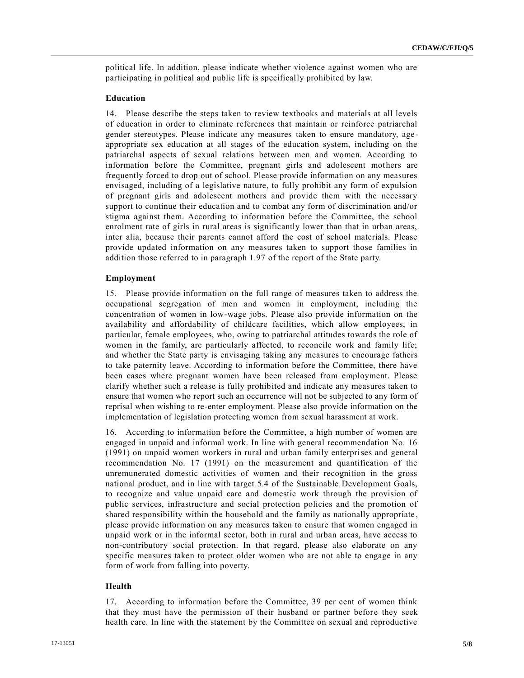political life. In addition, please indicate whether violence against women who are participating in political and public life is specifically prohibited by law.

# **Education**

14. Please describe the steps taken to review textbooks and materials at all levels of education in order to eliminate references that maintain or reinforce patriarchal gender stereotypes. Please indicate any measures taken to ensure mandatory, ageappropriate sex education at all stages of the education system, including on the patriarchal aspects of sexual relations between men and women. According to information before the Committee, pregnant girls and adolescent mothers are frequently forced to drop out of school. Please provide information on any measures envisaged, including of a legislative nature, to fully prohibit any form of expulsion of pregnant girls and adolescent mothers and provide them with the necessary support to continue their education and to combat any form of discrimination and/or stigma against them. According to information before the Committee, the school enrolment rate of girls in rural areas is significantly lower than that in urban areas, inter alia, because their parents cannot afford the cost of school materials. Please provide updated information on any measures taken to support those families in addition those referred to in paragraph 1.97 of the report of the State party.

# **Employment**

15. Please provide information on the full range of measures taken to address the occupational segregation of men and women in employment, including the concentration of women in low-wage jobs. Please also provide information on the availability and affordability of childcare facilities, which allow employees, in particular, female employees, who, owing to patriarchal attitudes towards the role of women in the family, are particularly affected, to reconcile work and family life; and whether the State party is envisaging taking any measures to encourage fathers to take paternity leave. According to information before the Committee, there have been cases where pregnant women have been released from employment. Please clarify whether such a release is fully prohibited and indicate any measures taken to ensure that women who report such an occurrence will not be subjected to any form of reprisal when wishing to re-enter employment. Please also provide information on the implementation of legislation protecting women from sexual harassment at work.

16. According to information before the Committee, a high number of women are engaged in unpaid and informal work. In line with general recommendation No. 16 (1991) on unpaid women workers in rural and urban family enterprises and general recommendation No. 17 (1991) on the measurement and quantification of the unremunerated domestic activities of women and their recognition in the gross national product, and in line with target 5.4 of the Sustainable Development Goals, to recognize and value unpaid care and domestic work through the provision of public services, infrastructure and social protection policies and the promotion of shared responsibility within the household and the family as nationally appropriate , please provide information on any measures taken to ensure that women engaged in unpaid work or in the informal sector, both in rural and urban areas, have access to non-contributory social protection. In that regard, please also elaborate on any specific measures taken to protect older women who are not able to engage in any form of work from falling into poverty.

# **Health**

17. According to information before the Committee, 39 per cent of women think that they must have the permission of their husband or partner before they seek health care. In line with the statement by the Committee on sexual and reproductive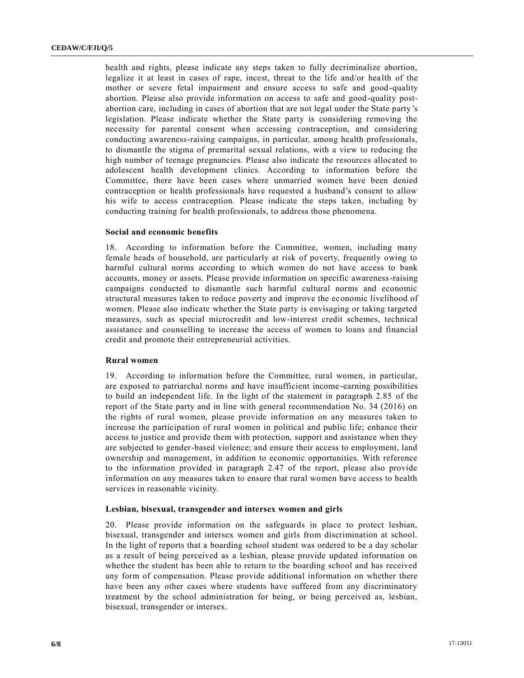health and rights, please indicate any steps taken to fully decriminalize abortion, legalize it at least in cases of rape, incest, threat to the life and/or health of the mother or severe fetal impairment and ensure access to safe and good-quality abortion. Please also provide information on access to safe and good-quality postabortion care, including in cases of abortion that are not legal under the State party 's legislation. Please indicate whether the State party is considering removing the necessity for parental consent when accessing contraception, and considering conducting awareness-raising campaigns, in particular, among health professionals, to dismantle the stigma of premarital sexual relations, with a view to reducing the high number of teenage pregnancies. Please also indicate the resources allocated to adolescent health development clinics. According to information before the Committee, there have been cases where unmarried women have been denied contraception or health professionals have requested a husband's consent to allow his wife to access contraception. Please indicate the steps taken, including by conducting training for health professionals, to address those phenomena.

#### **Social and economic benefits**

18. According to information before the Committee, women, including many female heads of household, are particularly at risk of poverty, frequently owing to harmful cultural norms according to which women do not have access to bank accounts, money or assets. Please provide information on specific awareness-raising campaigns conducted to dismantle such harmful cultural norms and economic structural measures taken to reduce poverty and improve the economic livelihood of women. Please also indicate whether the State party is envisaging or taking targeted measures, such as special microcredit and low-interest credit schemes, technical assistance and counselling to increase the access of women to loans and financial credit and promote their entrepreneurial activities.

#### **Rural women**

19. According to information before the Committee, rural women, in particular, are exposed to patriarchal norms and have insufficient income -earning possibilities to build an independent life. In the light of the statement in paragraph 2.85 of the report of the State party and in line with general recommendation No. 34 (2016) on the rights of rural women, please provide information on any measures taken to increase the participation of rural women in political and public life; enhance their access to justice and provide them with protection, support and assistance when they are subjected to gender-based violence; and ensure their access to employment, land ownership and management, in addition to economic opportunities. With reference to the information provided in paragraph 2.47 of the report, please also provide information on any measures taken to ensure that rural women have access to health services in reasonable vicinity.

# **Lesbian, bisexual, transgender and intersex women and girls**

20. Please provide information on the safeguards in place to protect lesbian, bisexual, transgender and intersex women and girls from discrimination at school. In the light of reports that a boarding school student was ordered to be a day scholar as a result of being perceived as a lesbian, please provide updated information on whether the student has been able to return to the boarding school and has received any form of compensation. Please provide additional information on whether there have been any other cases where students have suffered from any discriminatory treatment by the school administration for being, or being perceived as, lesbian, bisexual, transgender or intersex.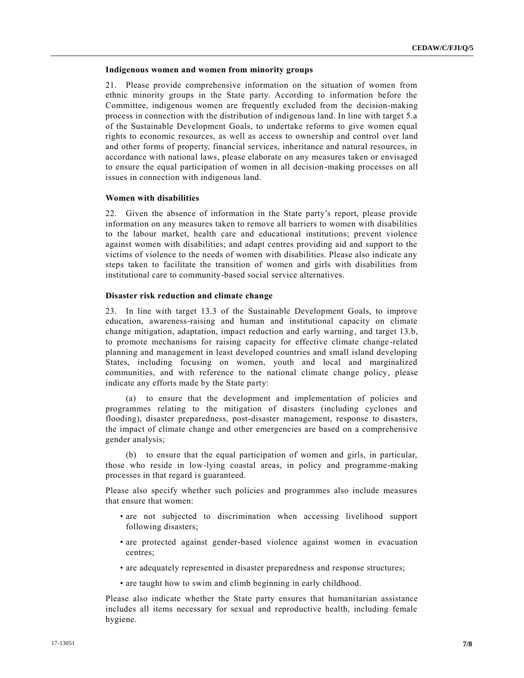## **Indigenous women and women from minority groups**

21. Please provide comprehensive information on the situation of women from ethnic minority groups in the State party. According to information before the Committee, indigenous women are frequently excluded from the decision-making process in connection with the distribution of indigenous land. In line with target 5.a of the Sustainable Development Goals, to undertake reforms to give women equal rights to economic resources, as well as access to ownership and control over land and other forms of property, financial services, inheritance and natural resources, in accordance with national laws, please elaborate on any measures taken or envisaged to ensure the equal participation of women in all decision-making processes on all issues in connection with indigenous land.

# **Women with disabilities**

22. Given the absence of information in the State party's report, please provide information on any measures taken to remove all barriers to women with disabilities to the labour market, health care and educational institutions; prevent violence against women with disabilities; and adapt centres providing aid and support to the victims of violence to the needs of women with disabilities. Please also indicate any steps taken to facilitate the transition of women and girls with disabilities from institutional care to community-based social service alternatives.

## **Disaster risk reduction and climate change**

23. In line with target 13.3 of the Sustainable Development Goals, to improve education, awareness-raising and human and institutional capacity on climate change mitigation, adaptation, impact reduction and early warning, and target 13.b, to promote mechanisms for raising capacity for effective climate change -related planning and management in least developed countries and small island developing States, including focusing on women, youth and local and marginalized communities, and with reference to the national climate change policy, please indicate any efforts made by the State party:

(a) to ensure that the development and implementation of policies and programmes relating to the mitigation of disasters (including cyclones and flooding), disaster preparedness, post-disaster management, response to disasters, the impact of climate change and other emergencies are based on a comprehensive gender analysis;

(b) to ensure that the equal participation of women and girls, in particular, those who reside in low-lying coastal areas, in policy and programme-making processes in that regard is guaranteed.

Please also specify whether such policies and programmes also include measures that ensure that women:

- are not subjected to discrimination when accessing livelihood support following disasters;
- are protected against gender-based violence against women in evacuation centres;
- are adequately represented in disaster preparedness and response structures;
- are taught how to swim and climb beginning in early childhood.

Please also indicate whether the State party ensures that humanitarian assistance includes all items necessary for sexual and reproductive health, including female hygiene.